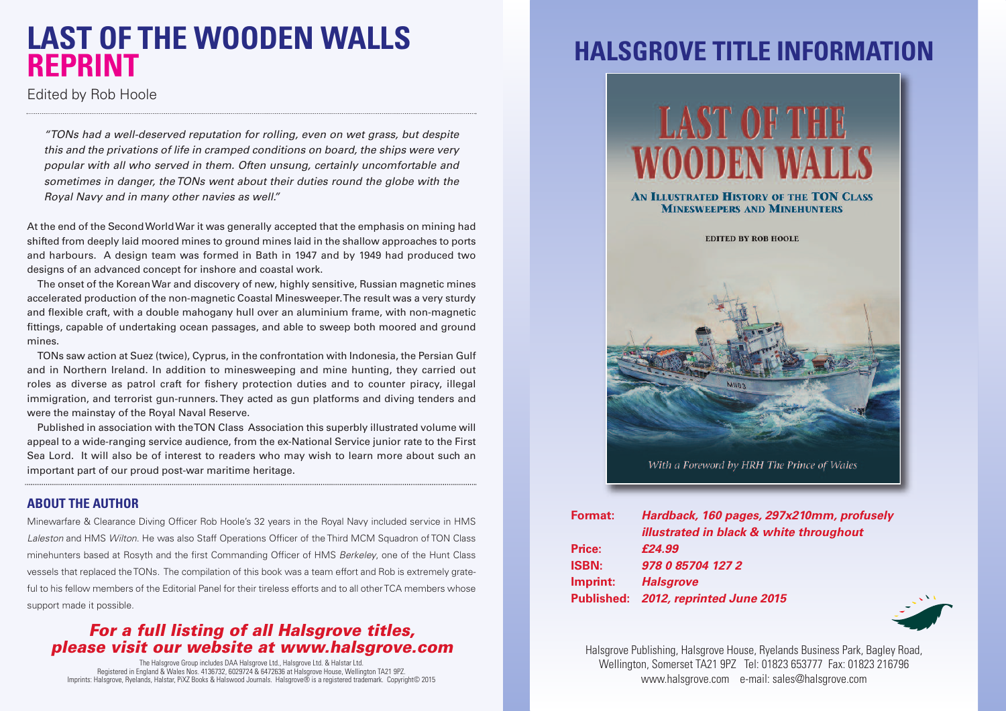## **LAST OF THE WOODEN WALLS REPRINT**

Edited by Rob Hoole

*"TONs had a well-deserved reputation for rolling, even on wet grass, but despite this and the privations of life in cramped conditions on board, the ships were very popular with all who served in them. Often unsung, certainly uncomfortable and sometimes in danger, theTONs went about their duties round the globe with the Royal Navy and in many other navies as well."*

At the end of the SecondWorldWar it was generally accepted that the emphasis on mining had shifted from deeply laid moored mines to ground mines laid in the shallow approaches to ports and harbours. A design team was formed in Bath in 1947 and by 1949 had produced two designs of an advanced concept for inshore and coastal work.

The onset of the KoreanWar and discovery of new, highly sensitive, Russian magnetic mines accelerated production of the non-magnetic Coastal Minesweeper.The result was a very sturdy and flexible craft, with a double mahogany hull over an aluminium frame, with non-magnetic fittings, capable of undertaking ocean passages, and able to sweep both moored and ground mines.

TONs saw action at Suez (twice), Cyprus, in the confrontation with Indonesia, the Persian Gulf and in Northern Ireland. In addition to minesweeping and mine hunting, they carried out roles as diverse as patrol craft for fishery protection duties and to counter piracy, illegal immigration, and terrorist gun-runners. They acted as gun platforms and diving tenders and were the mainstay of the Royal Naval Reserve.

Published in association with theTON Class Association this superbly illustrated volume will appeal to a wide-ranging service audience, from the ex-National Service junior rate to the First Sea Lord. It will also be of interest to readers who may wish to learn more about such an important part of our proud post-war maritime heritage.

#### **ABOUT THE AUTHOR**

Minewarfare & Clearance Diving Officer Rob Hoole's 32 years in the Royal Navy included service in HMS *Laleston* and HMS *Wilton*. He was also Staff Operations Officer of the Third MCM Squadron of TON Class minehunters based at Rosyth and the first Commanding Officer of HMS *Berkeley*, one of the Hunt Class vessels that replaced theTONs. The compilation of this book was a team effort and Rob is extremely grateful to his fellow members of the Editorial Panel for their tireless efforts and to all otherTCA members whose support made it possible.

### *For a full listing of all Halsgrove titles, please visit our website at www.halsgrove.com*

The Halsgrove Group includes DAA Halsgrove Ltd., Halsgrove Ltd. & Halstar Ltd. Registered in England & Wales Nos. 4136732, 6029724 & 6472636 at Halsgrove House, Wellington TA21 9PZ. Imprints: Halsgrove, Ryelands, Halstar, PiXZ Books & Halswood Journals. Halsgrove® is a registered trademark. Copyright© 2015

## **HALSGROVE TITLE INFORMATION**



With a Foreword by HRH The Prince of Wales

| <b>Format:</b> | Hardback, 160 pages, 297x210mm, profusely |
|----------------|-------------------------------------------|
|                | illustrated in black & white throughout   |
| Price:         | £24.99                                    |
| <b>ISBN:</b>   | 978 0 85704 127 2                         |
| Imprint:       | <b>Halsgrove</b>                          |
|                | Published: 2012, reprinted June 2015      |



Halsgrove Publishing, Halsgrove House, Ryelands Business Park, Bagley Road, Wellington, Somerset TA21 9PZ Tel: 01823 653777 Fax: 01823 216796 www.halsgrove.com e-mail: sales@halsgrove.com